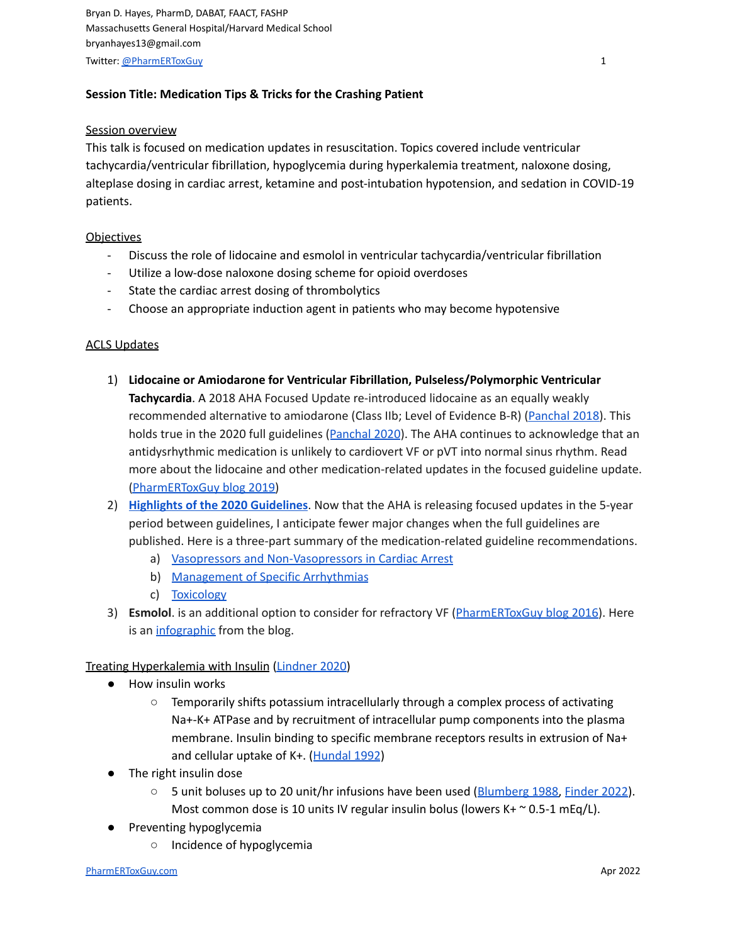Bryan D. Hayes, PharmD, DABAT, FAACT, FASHP Massachusetts General Hospital/Harvard Medical School bryanhayes13@gmail.com Twitter: [@PharmERToxGuy](https://twitter.com/pharmertoxguy) 1

# **Session Title: Medication Tips & Tricks for the Crashing Patient**

### **Session overview**

This talk is focused on medication updates in resuscitation. Topics covered include ventricular tachycardia/ventricular fibrillation, hypoglycemia during hyperkalemia treatment, naloxone dosing, alteplase dosing in cardiac arrest, ketamine and post-intubation hypotension, and sedation in COVID-19 patients.

### **Objectives**

- Discuss the role of lidocaine and esmolol in ventricular tachycardia/ventricular fibrillation
- Utilize a low-dose naloxone dosing scheme for opioid overdoses
- State the cardiac arrest dosing of thrombolytics
- Choose an appropriate induction agent in patients who may become hypotensive

### ACLS Updates

- 1) **Lidocaine or Amiodarone for Ventricular Fibrillation, Pulseless/Polymorphic Ventricular Tachycardia**. A 2018 AHA Focused Update re-introduced lidocaine as an equally weakly recommended alternative to amiodarone (Class IIb; Level of Evidence B-R) [\(Panchal](https://www.ncbi.nlm.nih.gov/pubmed/30571262) 2018). This holds true in the 2020 full guidelines ([Panchal](https://www.ahajournals.org/doi/10.1161/CIR.0000000000000916) 2020). The AHA continues to acknowledge that an antidysrhythmic medication is unlikely to cardiovert VF or pVT into normal sinus rhythm. Read more about the lidocaine and other medication-related updates in the focused guideline update. [\(PharmERToxGuy](https://pharmertoxguy.com/2019/01/04/2018-aha-focused-update/) blog 2019)
- 2) **Highlights of the 2020 [Guidelines](https://cpr.heart.org/-/media/cpr-files/cpr-guidelines-files/highlights/hghlghts_2020_ecc_guidelines_english.pdf)**. Now that the AHA is releasing focused updates in the 5-year period between guidelines, I anticipate fewer major changes when the full guidelines are published. Here is a three-part summary of the medication-related guideline recommendations.
	- a) Vasopressors and [Non-Vasopressors](https://www.aliem.com/2020-acls-guidelines-vasopressors-non-vasopressors-cardiac-arrest/) in Cardiac Arrest
	- b) [Management](https://www.aliem.com/2020-acls-arrhythmias-management/) of Specific Arrhythmias
	- c) [Toxicology](https://www.aliem.com/2020-acls-medications-toxicology/)
- 3) **Esmolol**. is an additional option to consider for refractory VF ([PharmERToxGuy](https://pharmertoxguy.com/2016/09/30/esmolol-for-refractory-vfib/) blog 2016). Here is an [infographic](https://pharmertoxguy.files.wordpress.com/2018/06/esmolol-for-refractory-v-fib.png) from the blog.

## Treating Hyperkalemia with Insulin [\(Lindner](https://www.ncbi.nlm.nih.gov/pmc/articles/PMC7448835/) 2020)

- How insulin works
	- Temporarily shifts potassium intracellularly through a complex process of activating Na+-K+ ATPase and by recruitment of intracellular pump components into the plasma membrane. Insulin binding to specific membrane receptors results in extrusion of Na+ and cellular uptake of K+. ([Hundal](https://www.ncbi.nlm.nih.gov/pubmed/1312081) 1992)
- The right insulin dose
	- 5 unit boluses up to 20 unit/hr infusions have been used ([Blumberg](https://www.ncbi.nlm.nih.gov/pubmed/3052050) 1988, [Finder](https://pubmed.ncbi.nlm.nih.gov/35058093/) 2022). Most common dose is 10 units IV regular insulin bolus (lowers K+ ~ 0.5-1 mEq/L).
- Preventing hypoglycemia
	- Incidence of hypoglycemia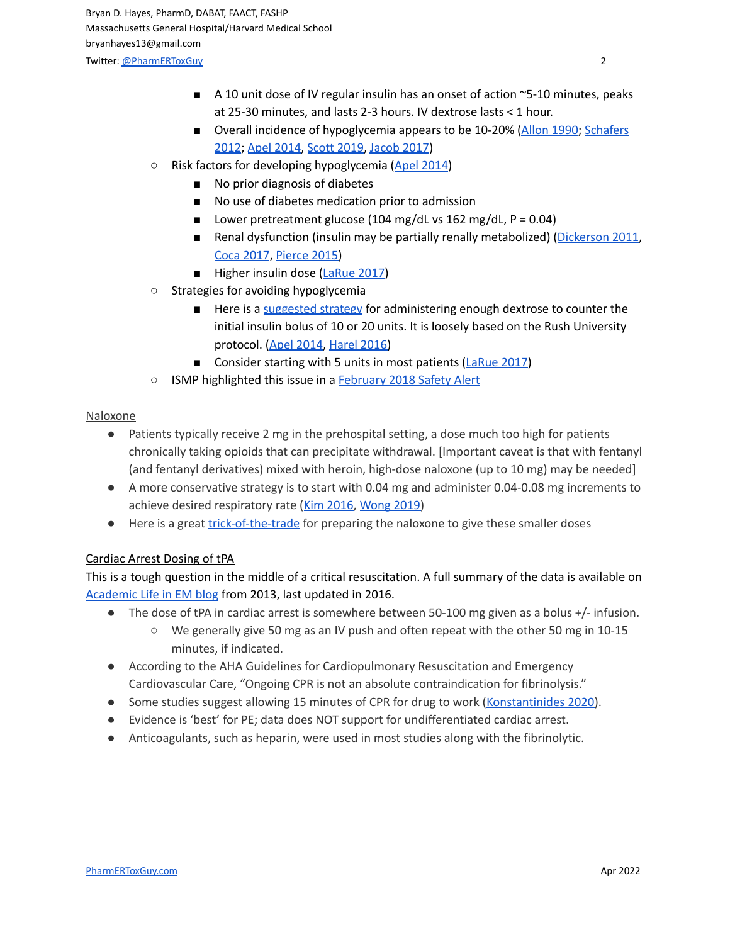- A 10 unit dose of IV regular insulin has an onset of action ~5-10 minutes, peaks at 25-30 minutes, and lasts 2-3 hours. IV dextrose lasts < 1 hour.
- Overall incidence of hypoglycemia appears to be 10-20% [\(Allon](https://www.ncbi.nlm.nih.gov/pubmed/2266671) 1990; [Schafers](https://www.ncbi.nlm.nih.gov/pubmed/22489323) [2012](https://www.ncbi.nlm.nih.gov/pubmed/22489323); Apel [2014,](https://www.ncbi.nlm.nih.gov/pmc/articles/PMC4377748/) [Scott](https://www.ncbi.nlm.nih.gov/pubmed/29861377) 2019, [Jacob](https://pubmed.ncbi.nlm.nih.gov/31205332/) 2017)
- Risk factors for developing hypoglycemia (Apel [2014\)](https://www.ncbi.nlm.nih.gov/pmc/articles/PMC4377748/)
	- No prior diagnosis of diabetes
	- No use of diabetes medication prior to admission
	- Lower pretreatment glucose (104 mg/dL vs 162 mg/dL,  $P = 0.04$ )
	- Renal dysfunction (insulin may be partially renally metabolized) ([Dickerson](https://www.ncbi.nlm.nih.gov/pubmed/20971617) 2011, Coca [2017](https://pubmed.ncbi.nlm.nih.gov/28245289/), [Pierce](https://pubmed.ncbi.nlm.nih.gov/26416951/) 2015)
	- Higher insulin dose ([LaRue](https://www.ncbi.nlm.nih.gov/pubmed/28976587) 2017)
- Strategies for avoiding hypoglycemia
	- Here is a [suggested](https://www.aliem.com/hyperkalemia-management-preventing-hypoglycemia-from-insulin/) strategy for administering enough dextrose to counter the initial insulin bolus of 10 or 20 units. It is loosely based on the Rush University protocol. (Apel [2014,](https://www.ncbi.nlm.nih.gov/pmc/articles/PMC4377748/) [Harel](https://pubmed.ncbi.nlm.nih.gov/27148740/) 2016)
	- Consider starting with 5 units in most patients ([LaRue](https://pubmed.ncbi.nlm.nih.gov/28976587/) 2017)
- ISMP highlighted this issue in a [February](http://www.ismp.org/newsletters/acutecare/issues/20180208.pdf) 2018 Safety Alert

### Naloxone

- Patients typically receive 2 mg in the prehospital setting, a dose much too high for patients chronically taking opioids that can precipitate withdrawal. [Important caveat is that with fentanyl (and fentanyl derivatives) mixed with heroin, high-dose naloxone (up to 10 mg) may be needed]
- A more conservative strategy is to start with 0.04 mg and administer 0.04-0.08 mg increments to achieve desired respiratory rate (Kim [2016,](https://www.ncbi.nlm.nih.gov/pubmed/26289651) [Wong](https://www.ncbi.nlm.nih.gov/pubmed/30032680) 2019)
- Here is a great [trick-of-the-trade](https://www.aliem.com/trick-trade-naloxone-dilution/) for preparing the naloxone to give these smaller doses

## Cardiac Arrest Dosing of tPA

This is a tough question in the middle of a critical resuscitation. A full summary of the data is available on [Academic](https://www.aliem.com/whats-code-dose-of-tpa/) Life in EM blog from 2013, last updated in 2016.

- The dose of tPA in cardiac arrest is somewhere between 50-100 mg given as a bolus +/- infusion.
	- We generally give 50 mg as an IV push and often repeat with the other 50 mg in 10-15 minutes, if indicated.
- According to the AHA Guidelines for Cardiopulmonary Resuscitation and Emergency Cardiovascular Care, "Ongoing CPR is not an absolute contraindication for fibrinolysis."
- Some studies suggest allowing 15 minutes of CPR for drug to work [\(Konstantinides](https://pubmed.ncbi.nlm.nih.gov/31504429/) 2020).
- Evidence is 'best' for PE; data does NOT support for undifferentiated cardiac arrest.
- Anticoagulants, such as heparin, were used in most studies along with the fibrinolytic.